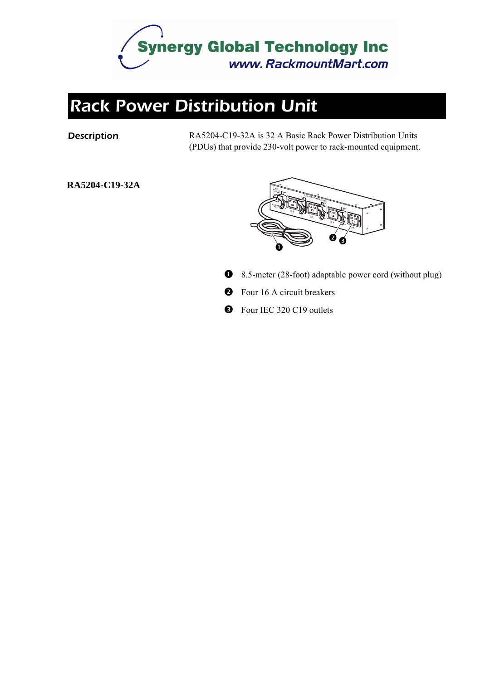

## *Rack Power Distribution Unit*

**Description** RA5204-C19-32A is 32 A Basic Rack Power Distribution Units (PDUs) that provide 230-volt power to rack-mounted equipment.

#### **RA5204-C19-32A**



- 8.5-meter (28-foot) adaptable power cord (without plug)
- $\boldsymbol{\Theta}$ Four 16 A circuit breakers
- **B** Four IEC 320 C19 outlets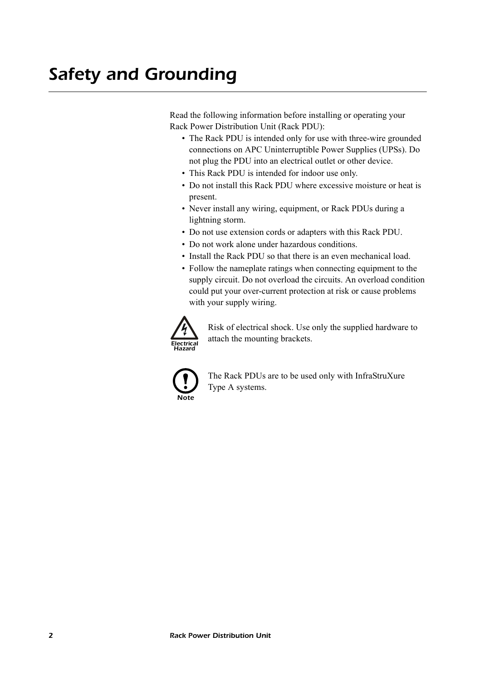Read the following information before installing or operating your Rack Power Distribution Unit (Rack PDU):

- The Rack PDU is intended only for use with three-wire grounded connections on APC Uninterruptible Power Supplies (UPSs). Do not plug the PDU into an electrical outlet or other device.
- This Rack PDU is intended for indoor use only.
- Do not install this Rack PDU where excessive moisture or heat is present.
- Never install any wiring, equipment, or Rack PDUs during a lightning storm.
- Do not use extension cords or adapters with this Rack PDU.
- Do not work alone under hazardous conditions.
- Install the Rack PDU so that there is an even mechanical load.
- Follow the nameplate ratings when connecting equipment to the supply circuit. Do not overload the circuits. An overload condition could put your over-current protection at risk or cause problems with your supply wiring.



Risk of electrical shock. Use only the supplied hardware to attach the mounting brackets.



The Rack PDUs are to be used only with InfraStruXure Type A systems.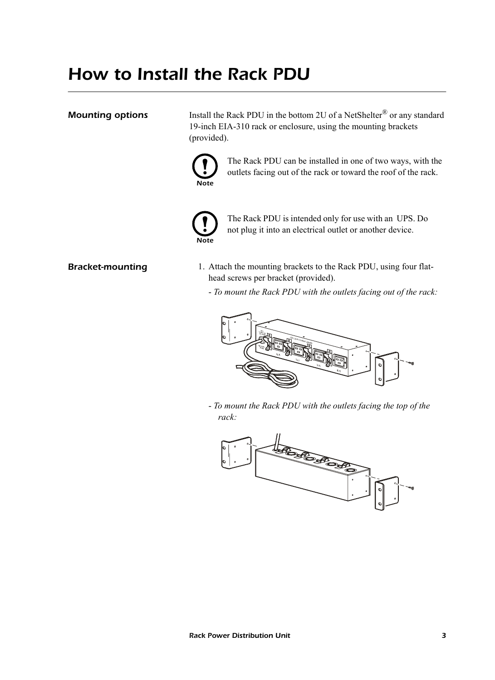## *How to Install the Rack PDU*

**Mounting options** Install the Rack PDU in the bottom 2U of a NetShelter<sup>®</sup> or any standard 19-inch EIA-310 rack or enclosure, using the mounting brackets (provided).



The Rack PDU can be installed in one of two ways, with the outlets facing out of the rack or toward the roof of the rack.



The Rack PDU is intended only for use with an UPS. Do not plug it into an electrical outlet or another device.

- 
- **Bracket-mounting** 1. Attach the mounting brackets to the Rack PDU, using four flathead screws per bracket (provided).
	- *To mount the Rack PDU with the outlets facing out of the rack:*



- *To mount the Rack PDU with the outlets facing the top of the rack:*

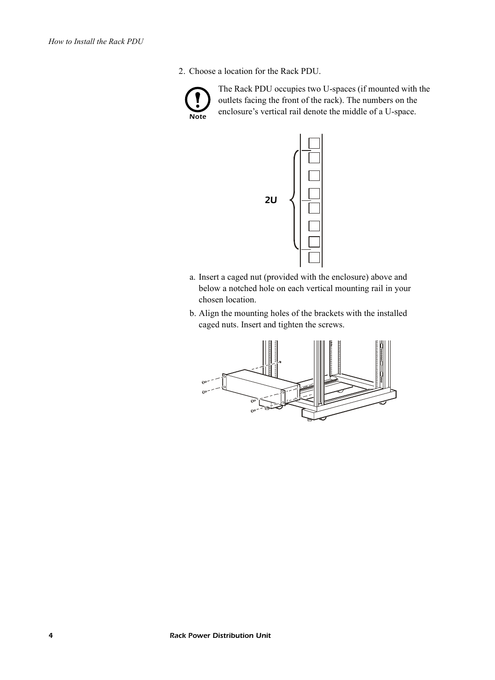2. Choose a location for the Rack PDU.



The Rack PDU occupies two U-spaces (if mounted with the outlets facing the front of the rack). The numbers on the enclosure's vertical rail denote the middle of a U-space.



- a. Insert a caged nut (provided with the enclosure) above and below a notched hole on each vertical mounting rail in your chosen location.
- b. Align the mounting holes of the brackets with the installed caged nuts. Insert and tighten the screws.

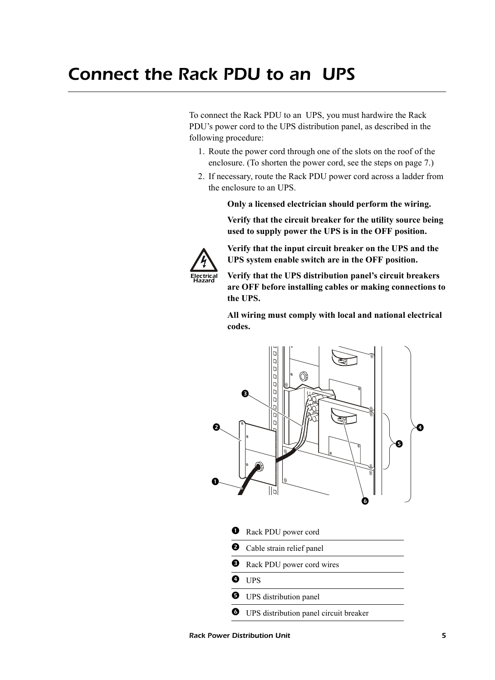To connect the Rack PDU to an UPS, you must hardwire the Rack PDU's power cord to the UPS distribution panel, as described in the following procedure:

- 1. Route the power cord through one of the slots on the roof of the enclosure. (To shorten the power cord, see the steps on [page 7](#page-6-0).)
- 2. If necessary, route the Rack PDU power cord across a ladder from the enclosure to an UPS.

**Only a licensed electrician should perform the wiring.**

**Verify that the circuit breaker for the utility source being used to supply power the UPS is in the OFF position.**



**Verify that the input circuit breaker on the UPS and the UPS system enable switch are in the OFF position.**

**Verify that the UPS distribution panel's circuit breakers are OFF before installing cables or making connections to the UPS.**

**All wiring must comply with local and national electrical codes.**



- **Q** Rack PDU power cord
- **2** Cable strain relief panel
- **B** Rack PDU power cord wires
- **O** UPS
- $\Theta$  UPS distribution panel
- **O** UPS distribution panel circuit breaker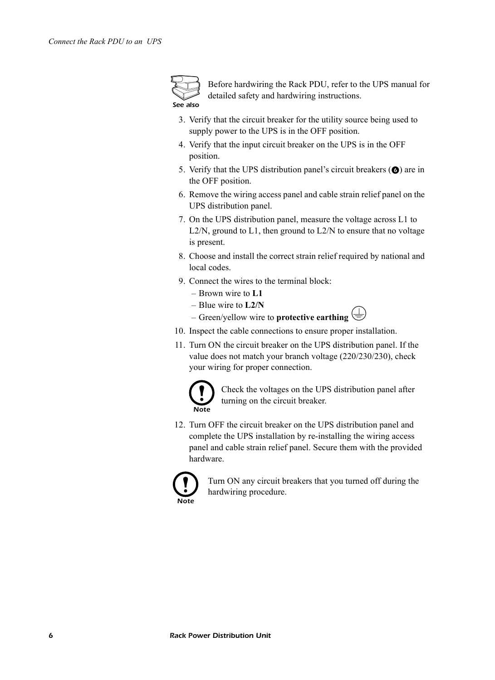

Before hardwiring the Rack PDU, refer to the UPS manual for detailed safety and hardwiring instructions.

- 3. Verify that the circuit breaker for the utility source being used to supply power to the UPS is in the OFF position.
- 4. Verify that the input circuit breaker on the UPS is in the OFF position.
- 5. Verify that the UPS distribution panel's circuit breakers  $\circled{O}$  are in the OFF position.
- 6. Remove the wiring access panel and cable strain relief panel on the UPS distribution panel.
- 7. On the UPS distribution panel, measure the voltage across L1 to L2/N, ground to L1, then ground to L2/N to ensure that no voltage is present.
- 8. Choose and install the correct strain relief required by national and local codes.
- 9. Connect the wires to the terminal block:
	- Brown wire to **L1**
	- Blue wire to **L2/N**
	- Green/yellow wire to **protective earthing**
- 10. Inspect the cable connections to ensure proper installation.
- 11. Turn ON the circuit breaker on the UPS distribution panel. If the value does not match your branch voltage (220/230/230), check your wiring for proper connection.



Check the voltages on the UPS distribution panel after turning on the circuit breaker.

12. Turn OFF the circuit breaker on the UPS distribution panel and complete the UPS installation by re-installing the wiring access panel and cable strain relief panel. Secure them with the provided hardware.



Turn ON any circuit breakers that you turned off during the hardwiring procedure.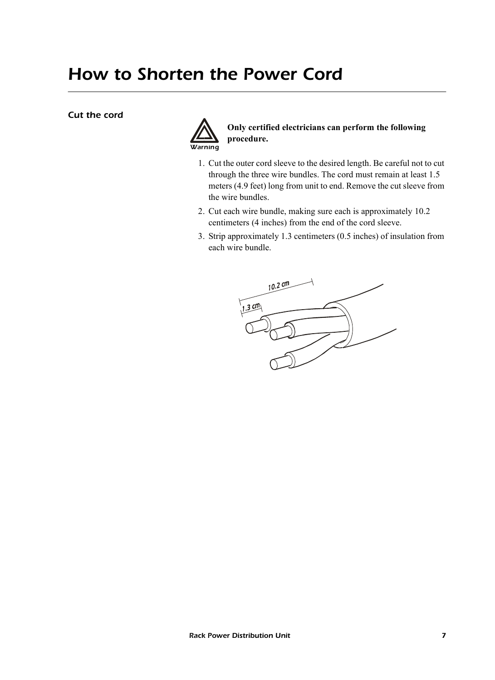## <span id="page-6-0"></span>*How to Shorten the Power Cord*

#### *Cut the cord*



### **Only certified electricians can perform the following procedure.**

- 1. Cut the outer cord sleeve to the desired length. Be careful not to cut through the three wire bundles. The cord must remain at least 1.5 meters (4.9 feet) long from unit to end. Remove the cut sleeve from the wire bundles.
- 2. Cut each wire bundle, making sure each is approximately 10.2 centimeters (4 inches) from the end of the cord sleeve.
- 3. Strip approximately 1.3 centimeters (0.5 inches) of insulation from each wire bundle.